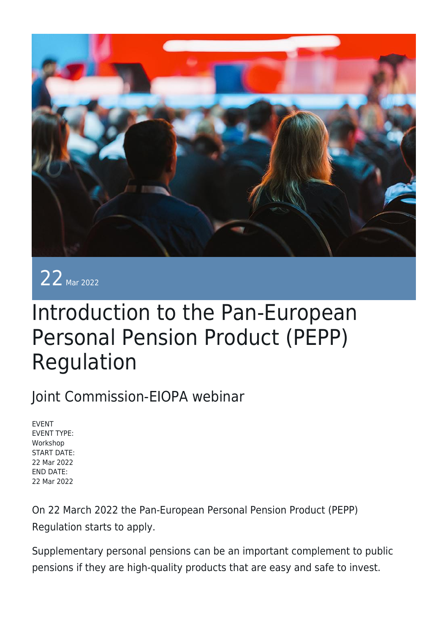



# Introduction to the Pan-European Personal Pension Product (PEPP) Regulation

### Joint Commission-EIOPA webinar

EVENT EVENT TYPE: Workshop START DATE: 22 Mar 2022 END DATE: 22 Mar 2022

On 22 March 2022 the Pan-European Personal Pension Product (PEPP) Regulation starts to apply.

Supplementary personal pensions can be an important complement to public pensions if they are high-quality products that are easy and safe to invest.